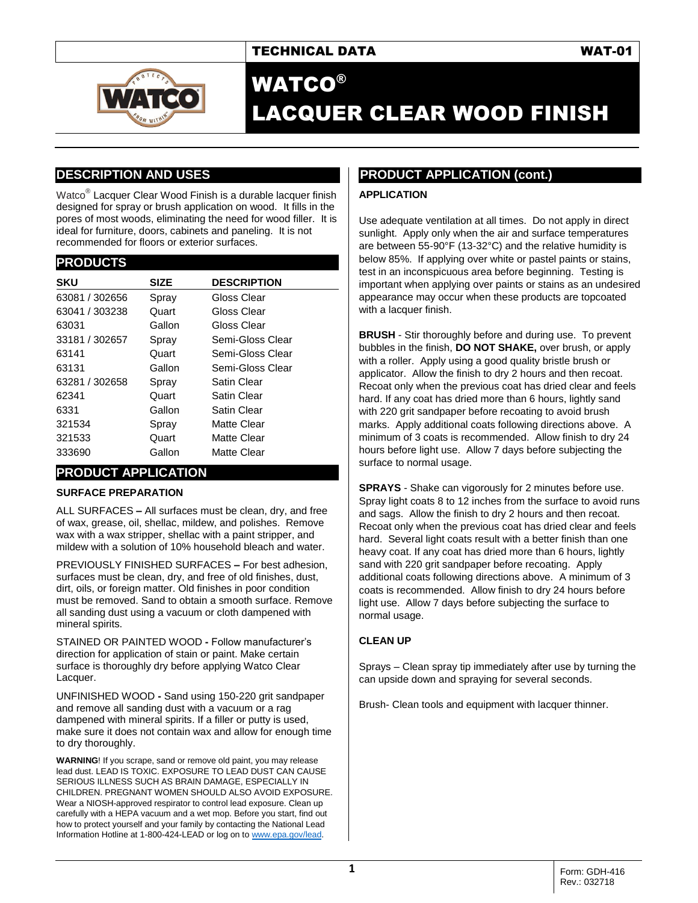

# WATCO® LACQUER CLEAR WOOD FINISH

## **DESCRIPTION AND USES**

Watco<sup>®</sup> Lacquer Clear Wood Finish is a durable lacquer finish designed for spray or brush application on wood. It fills in the pores of most woods, eliminating the need for wood filler. It is ideal for furniture, doors, cabinets and paneling. It is not recommended for floors or exterior surfaces.

#### **PRODUCTS**

| <b>SKU</b>     | <b>SIZE</b> | <b>DESCRIPTION</b> |
|----------------|-------------|--------------------|
| 63081 / 302656 | Spray       | Gloss Clear        |
| 63041 / 303238 | Quart       | Gloss Clear        |
| 63031          | Gallon      | Gloss Clear        |
| 33181 / 302657 | Spray       | Semi-Gloss Clear   |
| 63141          | Quart       | Semi-Gloss Clear   |
| 63131          | Gallon      | Semi-Gloss Clear   |
| 63281 / 302658 | Spray       | Satin Clear        |
| 62341          | Quart       | Satin Clear        |
| 6331           | Gallon      | Satin Clear        |
| 321534         | Spray       | Matte Clear        |
| 321533         | Quart       | Matte Clear        |
| 333690         | Gallon      | Matte Clear        |

## **PRODUCT APPLICATION**

### **SURFACE PREPARATION**

ALL SURFACES **–** All surfaces must be clean, dry, and free of wax, grease, oil, shellac, mildew, and polishes. Remove wax with a wax stripper, shellac with a paint stripper, and mildew with a solution of 10% household bleach and water.

PREVIOUSLY FINISHED SURFACES **–** For best adhesion, surfaces must be clean, dry, and free of old finishes, dust, dirt, oils, or foreign matter. Old finishes in poor condition must be removed. Sand to obtain a smooth surface. Remove all sanding dust using a vacuum or cloth dampened with mineral spirits.

STAINED OR PAINTED WOOD **-** Follow manufacturer's direction for application of stain or paint. Make certain surface is thoroughly dry before applying Watco Clear Lacquer.

UNFINISHED WOOD **-** Sand using 150-220 grit sandpaper and remove all sanding dust with a vacuum or a rag dampened with mineral spirits. If a filler or putty is used, make sure it does not contain wax and allow for enough time to dry thoroughly.

**WARNING**! If you scrape, sand or remove old paint, you may release lead dust. LEAD IS TOXIC. EXPOSURE TO LEAD DUST CAN CAUSE SERIOUS ILLNESS SUCH AS BRAIN DAMAGE, ESPECIALLY IN CHILDREN. PREGNANT WOMEN SHOULD ALSO AVOID EXPOSURE. Wear a NIOSH-approved respirator to control lead exposure. Clean up carefully with a HEPA vacuum and a wet mop. Before you start, find out how to protect yourself and your family by contacting the National Lead Information Hotline at 1-800-424-LEAD or log on to [www.epa.gov/lead.](http://www.epa.gov/lead)

## **PRODUCT APPLICATION (cont.)**

### **APPLICATION**

Use adequate ventilation at all times. Do not apply in direct sunlight. Apply only when the air and surface temperatures are between 55-90°F (13-32°C) and the relative humidity is below 85%. If applying over white or pastel paints or stains, test in an inconspicuous area before beginning. Testing is important when applying over paints or stains as an undesired appearance may occur when these products are topcoated with a lacquer finish.

**BRUSH** - Stir thoroughly before and during use. To prevent bubbles in the finish, **DO NOT SHAKE,** over brush, or apply with a roller. Apply using a good quality bristle brush or applicator. Allow the finish to dry 2 hours and then recoat. Recoat only when the previous coat has dried clear and feels hard. If any coat has dried more than 6 hours, lightly sand with 220 grit sandpaper before recoating to avoid brush marks. Apply additional coats following directions above. A minimum of 3 coats is recommended. Allow finish to dry 24 hours before light use. Allow 7 days before subjecting the surface to normal usage.

**SPRAYS** - Shake can vigorously for 2 minutes before use. Spray light coats 8 to 12 inches from the surface to avoid runs and sags. Allow the finish to dry 2 hours and then recoat. Recoat only when the previous coat has dried clear and feels hard. Several light coats result with a better finish than one heavy coat. If any coat has dried more than 6 hours, lightly sand with 220 grit sandpaper before recoating. Apply additional coats following directions above. A minimum of 3 coats is recommended. Allow finish to dry 24 hours before light use. Allow 7 days before subjecting the surface to normal usage.

### **CLEAN UP**

Sprays – Clean spray tip immediately after use by turning the can upside down and spraying for several seconds.

Brush- Clean tools and equipment with lacquer thinner.